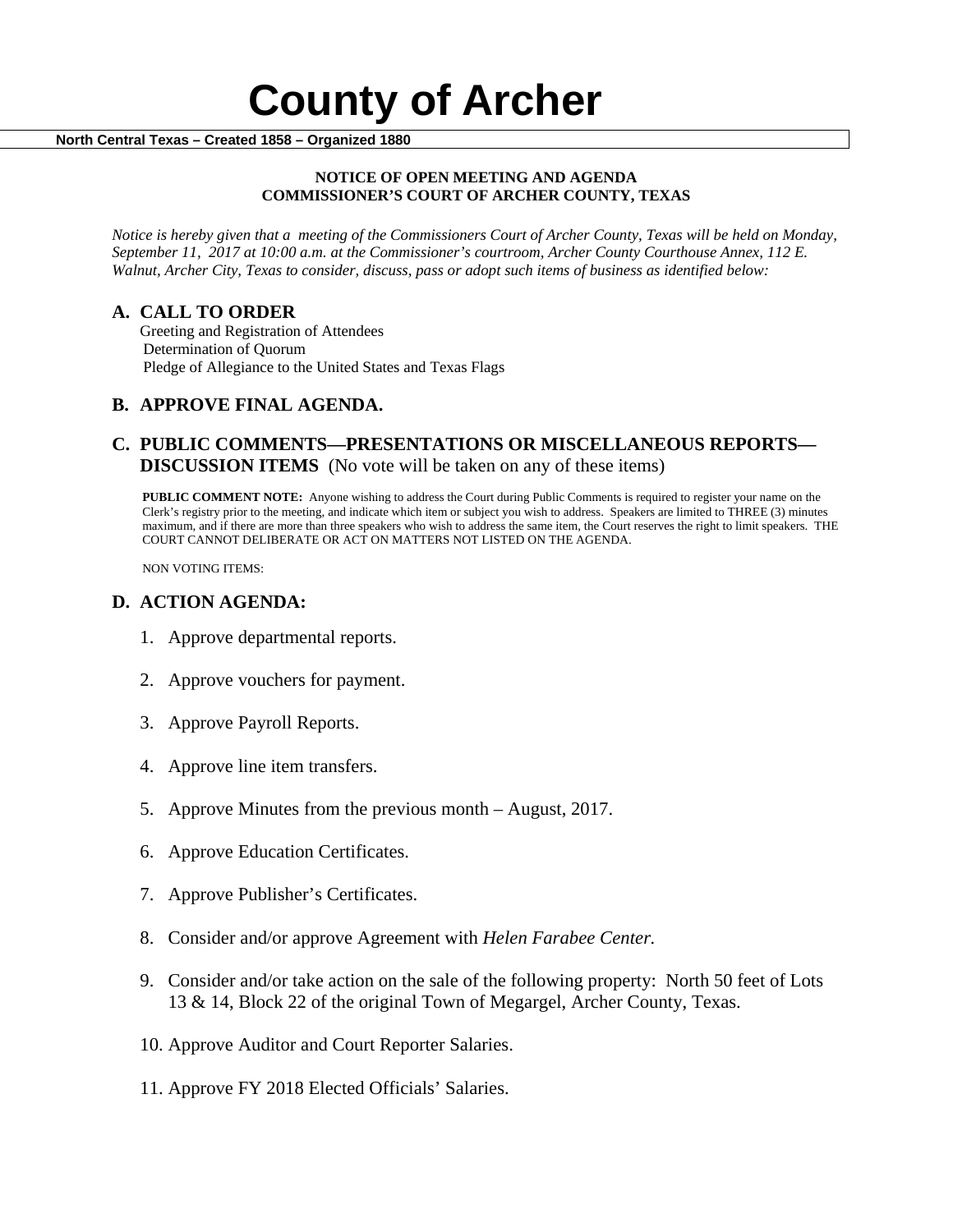#### **NOTICE OF OPEN MEETING AND AGENDA COMMISSIONER'S COURT OF ARCHER COUNTY, TEXAS**

*Notice is hereby given that a meeting of the Commissioners Court of Archer County, Texas will be held on Monday, September 11, 2017 at 10:00 a.m. at the Commissioner's courtroom, Archer County Courthouse Annex, 112 E. Walnut, Archer City, Texas to consider, discuss, pass or adopt such items of business as identified below:*

**A. CALL TO ORDER** Greeting and Registration of Attendees Determination of Quorum Pledge of Allegiance to the United States and Texas Flags

# **B. APPROVE FINAL AGENDA.**

# **C. PUBLIC COMMENTS—PRESENTATIONS OR MISCELLANEOUS REPORTS— DISCUSSION ITEMS** (No vote will be taken on any of these items)

**PUBLIC COMMENT NOTE:** Anyone wishing to address the Court during Public Comments is required to register your name on the Clerk's registry prior to the meeting, and indicate which item or subject you wish to address. Speakers are limited to THREE (3) minutes maximum, and if there are more than three speakers who wish to address the same item, the Court reserves the right to limit speakers. THE COURT CANNOT DELIBERATE OR ACT ON MATTERS NOT LISTED ON THE AGENDA.

NON VOTING ITEMS:

### **D. ACTION AGENDA:**

- 1. Approve departmental reports.
- 2. Approve vouchers for payment.
- 3. Approve Payroll Reports.
- 4. Approve line item transfers.
- 5. Approve Minutes from the previous month August, 2017.
- 6. Approve Education Certificates.
- 7. Approve Publisher's Certificates.
- 8. Consider and/or approve Agreement with *Helen Farabee Center.*
- 9. Consider and/or take action on the sale of the following property: North 50 feet of Lots 13 & 14, Block 22 of the original Town of Megargel, Archer County, Texas.
- 10. Approve Auditor and Court Reporter Salaries.
- 11. Approve FY 2018 Elected Officials' Salaries.